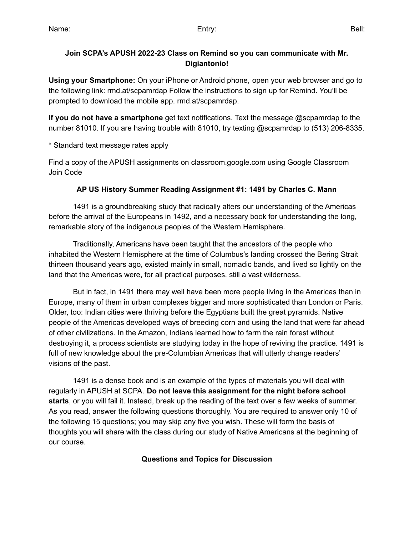### **Join SCPA's APUSH 2022-23 Class on Remind so you can communicate with Mr. Digiantonio!**

**Using your Smartphone:** On your iPhone or Android phone, open your web browser and go to the following link: rmd.at/scpamrdap Follow the instructions to sign up for Remind. You'll be prompted to download the mobile app. rmd.at/scpamrdap.

**If you do not have a smartphone** get text notifications. Text the message @scpamrdap to the number 81010. If you are having trouble with 81010, try texting @scpamrdap to (513) 206-8335.

\* Standard text message rates apply

Find a copy of the APUSH assignments on classroom.google.com using Google Classroom Join Code

### **AP US History Summer Reading Assignment #1: 1491 by Charles C. Mann**

1491 is a groundbreaking study that radically alters our understanding of the Americas before the arrival of the Europeans in 1492, and a necessary book for understanding the long, remarkable story of the indigenous peoples of the Western Hemisphere.

Traditionally, Americans have been taught that the ancestors of the people who inhabited the Western Hemisphere at the time of Columbus's landing crossed the Bering Strait thirteen thousand years ago, existed mainly in small, nomadic bands, and lived so lightly on the land that the Americas were, for all practical purposes, still a vast wilderness.

But in fact, in 1491 there may well have been more people living in the Americas than in Europe, many of them in urban complexes bigger and more sophisticated than London or Paris. Older, too: Indian cities were thriving before the Egyptians built the great pyramids. Native people of the Americas developed ways of breeding corn and using the land that were far ahead of other civilizations. In the Amazon, Indians learned how to farm the rain forest without destroying it, a process scientists are studying today in the hope of reviving the practice. 1491 is full of new knowledge about the pre-Columbian Americas that will utterly change readers' visions of the past.

1491 is a dense book and is an example of the types of materials you will deal with regularly in APUSH at SCPA. **Do not leave this assignment for the night before school starts**, or you will fail it. Instead, break up the reading of the text over a few weeks of summer. As you read, answer the following questions thoroughly. You are required to answer only 10 of the following 15 questions; you may skip any five you wish. These will form the basis of thoughts you will share with the class during our study of Native Americans at the beginning of our course.

#### **Questions and Topics for Discussion**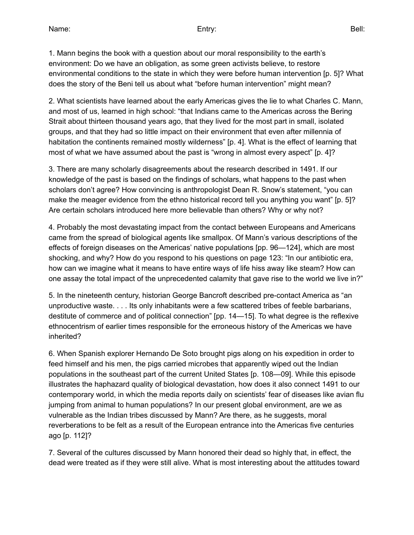1. Mann begins the book with a question about our moral responsibility to the earth's environment: Do we have an obligation, as some green activists believe, to restore environmental conditions to the state in which they were before human intervention [p. 5]? What does the story of the Beni tell us about what "before human intervention" might mean?

2. What scientists have learned about the early Americas gives the lie to what Charles C. Mann, and most of us, learned in high school: "that Indians came to the Americas across the Bering Strait about thirteen thousand years ago, that they lived for the most part in small, isolated groups, and that they had so little impact on their environment that even after millennia of habitation the continents remained mostly wilderness" [p. 4]. What is the effect of learning that most of what we have assumed about the past is "wrong in almost every aspect" [p. 4]?

3. There are many scholarly disagreements about the research described in 1491. If our knowledge of the past is based on the findings of scholars, what happens to the past when scholars don't agree? How convincing is anthropologist Dean R. Snow's statement, "you can make the meager evidence from the ethno historical record tell you anything you want" [p. 5]? Are certain scholars introduced here more believable than others? Why or why not?

4. Probably the most devastating impact from the contact between Europeans and Americans came from the spread of biological agents like smallpox. Of Mann's various descriptions of the effects of foreign diseases on the Americas' native populations [pp. 96—124], which are most shocking, and why? How do you respond to his questions on page 123: "In our antibiotic era, how can we imagine what it means to have entire ways of life hiss away like steam? How can one assay the total impact of the unprecedented calamity that gave rise to the world we live in?"

5. In the nineteenth century, historian George Bancroft described pre-contact America as "an unproductive waste. . . . Its only inhabitants were a few scattered tribes of feeble barbarians, destitute of commerce and of political connection" [pp. 14—15]. To what degree is the reflexive ethnocentrism of earlier times responsible for the erroneous history of the Americas we have inherited?

6. When Spanish explorer Hernando De Soto brought pigs along on his expedition in order to feed himself and his men, the pigs carried microbes that apparently wiped out the Indian populations in the southeast part of the current United States [p. 108—09]. While this episode illustrates the haphazard quality of biological devastation, how does it also connect 1491 to our contemporary world, in which the media reports daily on scientists' fear of diseases like avian flu jumping from animal to human populations? In our present global environment, are we as vulnerable as the Indian tribes discussed by Mann? Are there, as he suggests, moral reverberations to be felt as a result of the European entrance into the Americas five centuries ago [p. 112]?

7. Several of the cultures discussed by Mann honored their dead so highly that, in effect, the dead were treated as if they were still alive. What is most interesting about the attitudes toward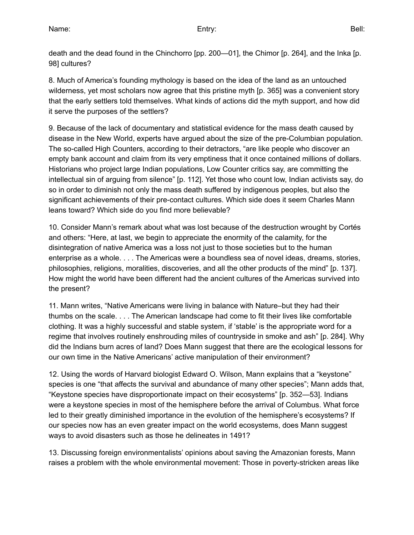death and the dead found in the Chinchorro [pp. 200—01], the Chimor [p. 264], and the Inka [p. 98] cultures?

8. Much of America's founding mythology is based on the idea of the land as an untouched wilderness, yet most scholars now agree that this pristine myth [p. 365] was a convenient story that the early settlers told themselves. What kinds of actions did the myth support, and how did it serve the purposes of the settlers?

9. Because of the lack of documentary and statistical evidence for the mass death caused by disease in the New World, experts have argued about the size of the pre-Columbian population. The so-called High Counters, according to their detractors, "are like people who discover an empty bank account and claim from its very emptiness that it once contained millions of dollars. Historians who project large Indian populations, Low Counter critics say, are committing the intellectual sin of arguing from silence" [p. 112]. Yet those who count low, Indian activists say, do so in order to diminish not only the mass death suffered by indigenous peoples, but also the significant achievements of their pre-contact cultures. Which side does it seem Charles Mann leans toward? Which side do you find more believable?

10. Consider Mann's remark about what was lost because of the destruction wrought by Cortés and others: "Here, at last, we begin to appreciate the enormity of the calamity, for the disintegration of native America was a loss not just to those societies but to the human enterprise as a whole. . . . The Americas were a boundless sea of novel ideas, dreams, stories, philosophies, religions, moralities, discoveries, and all the other products of the mind" [p. 137]. How might the world have been different had the ancient cultures of the Americas survived into the present?

11. Mann writes, "Native Americans were living in balance with Nature–but they had their thumbs on the scale. . . . The American landscape had come to fit their lives like comfortable clothing. It was a highly successful and stable system, if 'stable' is the appropriate word for a regime that involves routinely enshrouding miles of countryside in smoke and ash" [p. 284]. Why did the Indians burn acres of land? Does Mann suggest that there are the ecological lessons for our own time in the Native Americans' active manipulation of their environment?

12. Using the words of Harvard biologist Edward O. Wilson, Mann explains that a "keystone" species is one "that affects the survival and abundance of many other species"; Mann adds that, "Keystone species have disproportionate impact on their ecosystems" [p. 352—53]. Indians were a keystone species in most of the hemisphere before the arrival of Columbus. What force led to their greatly diminished importance in the evolution of the hemisphere's ecosystems? If our species now has an even greater impact on the world ecosystems, does Mann suggest ways to avoid disasters such as those he delineates in 1491?

13. Discussing foreign environmentalists' opinions about saving the Amazonian forests, Mann raises a problem with the whole environmental movement: Those in poverty-stricken areas like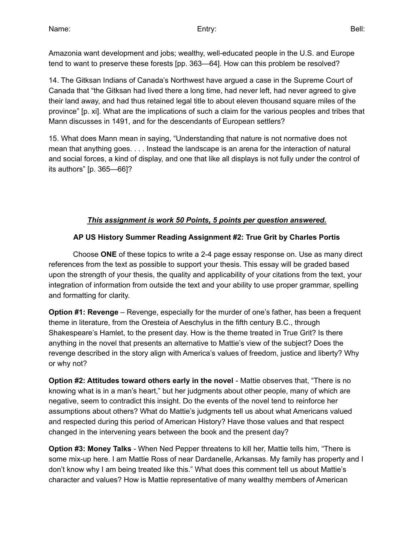Amazonia want development and jobs; wealthy, well-educated people in the U.S. and Europe tend to want to preserve these forests [pp. 363—64]. How can this problem be resolved?

14. The Gitksan Indians of Canada's Northwest have argued a case in the Supreme Court of Canada that "the Gitksan had lived there a long time, had never left, had never agreed to give their land away, and had thus retained legal title to about eleven thousand square miles of the province" [p. xi]. What are the implications of such a claim for the various peoples and tribes that Mann discusses in 1491, and for the descendants of European settlers?

15. What does Mann mean in saying, "Understanding that nature is not normative does not mean that anything goes. . . . Instead the landscape is an arena for the interaction of natural and social forces, a kind of display, and one that like all displays is not fully under the control of its authors" [p. 365—66]?

### *This assignment is work 50 Points, 5 points per question answered.*

### **AP US History Summer Reading Assignment #2: True Grit by Charles Portis**

Choose **ONE** of these topics to write a 2-4 page essay response on. Use as many direct references from the text as possible to support your thesis. This essay will be graded based upon the strength of your thesis, the quality and applicability of your citations from the text, your integration of information from outside the text and your ability to use proper grammar, spelling and formatting for clarity.

**Option #1: Revenge** – Revenge, especially for the murder of one's father, has been a frequent theme in literature, from the Oresteia of Aeschylus in the fifth century B.C., through Shakespeare's Hamlet, to the present day. How is the theme treated in True Grit? Is there anything in the novel that presents an alternative to Mattie's view of the subject? Does the revenge described in the story align with America's values of freedom, justice and liberty? Why or why not?

**Option #2: Attitudes toward others early in the novel** - Mattie observes that, "There is no knowing what is in a man's heart," but her judgments about other people, many of which are negative, seem to contradict this insight. Do the events of the novel tend to reinforce her assumptions about others? What do Mattie's judgments tell us about what Americans valued and respected during this period of American History? Have those values and that respect changed in the intervening years between the book and the present day?

**Option #3: Money Talks** - When Ned Pepper threatens to kill her, Mattie tells him, "There is some mix-up here. I am Mattie Ross of near Dardanelle, Arkansas. My family has property and I don't know why I am being treated like this." What does this comment tell us about Mattie's character and values? How is Mattie representative of many wealthy members of American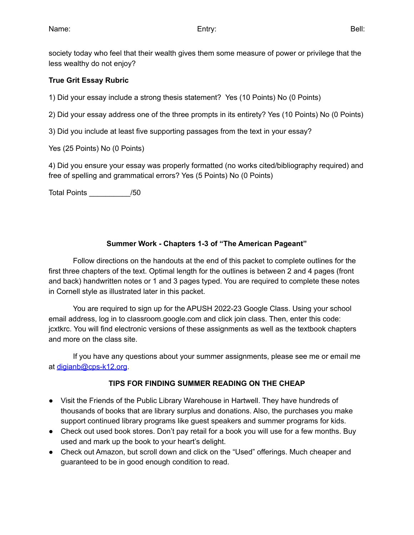society today who feel that their wealth gives them some measure of power or privilege that the less wealthy do not enjoy?

### **True Grit Essay Rubric**

1) Did your essay include a strong thesis statement? Yes (10 Points) No (0 Points)

2) Did your essay address one of the three prompts in its entirety? Yes (10 Points) No (0 Points)

3) Did you include at least five supporting passages from the text in your essay?

Yes (25 Points) No (0 Points)

4) Did you ensure your essay was properly formatted (no works cited/bibliography required) and free of spelling and grammatical errors? Yes (5 Points) No (0 Points)

Total Points \_\_\_\_\_\_\_\_\_\_/50

### **Summer Work - Chapters 1-3 of "The American Pageant"**

Follow directions on the handouts at the end of this packet to complete outlines for the first three chapters of the text. Optimal length for the outlines is between 2 and 4 pages (front and back) handwritten notes or 1 and 3 pages typed. You are required to complete these notes in Cornell style as illustrated later in this packet.

You are required to sign up for the APUSH 2022-23 Google Class. Using your school email address, log in to classroom.google.com and click join class. Then, enter this code: jcxtkrc. You will find electronic versions of these assignments as well as the textbook chapters and more on the class site.

If you have any questions about your summer assignments, please see me or email me at [digianb@cps-k12.org](mailto:digianb@cps-k12.org).

### **TIPS FOR FINDING SUMMER READING ON THE CHEAP**

- Visit the Friends of the Public Library Warehouse in Hartwell. They have hundreds of thousands of books that are library surplus and donations. Also, the purchases you make support continued library programs like guest speakers and summer programs for kids.
- Check out used book stores. Don't pay retail for a book you will use for a few months. Buy used and mark up the book to your heart's delight.
- Check out Amazon, but scroll down and click on the "Used" offerings. Much cheaper and guaranteed to be in good enough condition to read.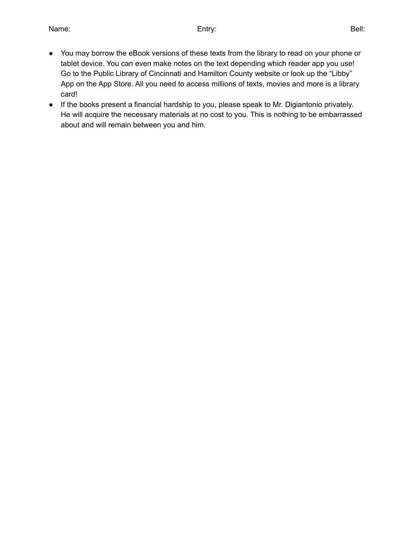- You may borrow the eBook versions of these texts from the library to read on your phone or tablet device. You can even make notes on the text depending which reader app you use! Go to the Public Library of Cincinnati and Hamilton County website or look up the "Libby" App on the App Store. All you need to access millions of texts, movies and more is a library card!
- If the books present a financial hardship to you, please speak to Mr. Digiantonio privately. He will acquire the necessary materials at no cost to you. This is nothing to be embarrassed about and will remain between you and him.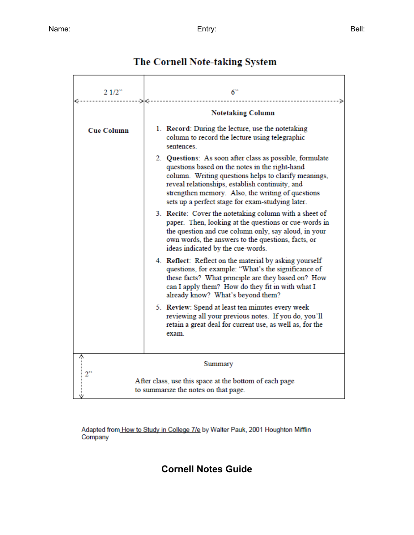| 21/2"             | 6"                                                                                                                                                                                                                                                                                                                             |
|-------------------|--------------------------------------------------------------------------------------------------------------------------------------------------------------------------------------------------------------------------------------------------------------------------------------------------------------------------------|
| ->∢<----->        | <b>Notetaking Column</b>                                                                                                                                                                                                                                                                                                       |
| <b>Cue Column</b> | 1. Record: During the lecture, use the notetaking<br>column to record the lecture using telegraphic<br>sentences.                                                                                                                                                                                                              |
|                   | 2. Questions: As soon after class as possible, formulate<br>questions based on the notes in the right-hand<br>column. Writing questions helps to clarify meanings,<br>reveal relationships, establish continuity, and<br>strengthen memory. Also, the writing of questions<br>sets up a perfect stage for exam-studying later. |
|                   | 3. Recite: Cover the notetaking column with a sheet of<br>paper. Then, looking at the questions or cue-words in<br>the question and cue column only, say aloud, in your<br>own words, the answers to the questions, facts, or<br>ideas indicated by the cue-words.                                                             |
|                   | 4. Reflect: Reflect on the material by asking yourself<br>questions, for example: "What's the significance of<br>these facts? What principle are they based on? How<br>can I apply them? How do they fit in with what I<br>already know? What's beyond them?                                                                   |
|                   | 5. Review: Spend at least ten minutes every week<br>reviewing all your previous notes. If you do, you'll<br>retain a great deal for current use, as well as, for the<br>exam.                                                                                                                                                  |
|                   | Summary                                                                                                                                                                                                                                                                                                                        |
| 2"                | After class, use this space at the bottom of each page<br>to summarize the notes on that page.                                                                                                                                                                                                                                 |

# The Cornell Note-taking System

Adapted from How to Study in College 7/e by Walter Pauk, 2001 Houghton Mifflin Company

## **Cornell Notes Guide**